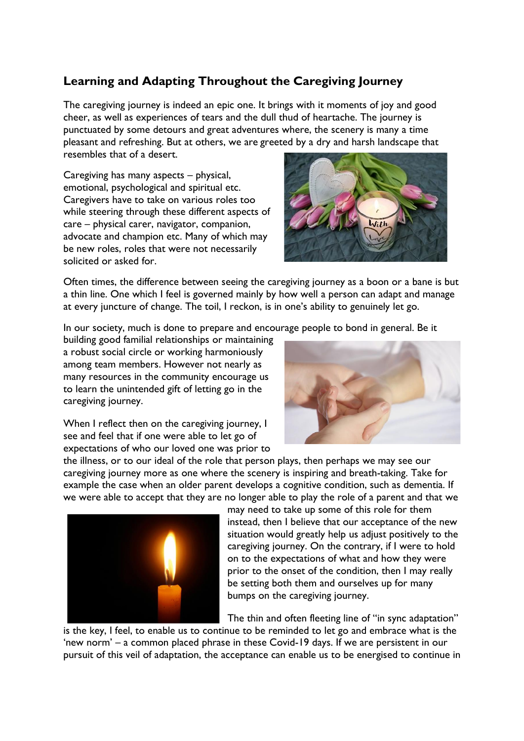## **Learning and Adapting Throughout the Caregiving Journey**

The caregiving journey is indeed an epic one. It brings with it moments of joy and good cheer, as well as experiences of tears and the dull thud of heartache. The journey is punctuated by some detours and great adventures where, the scenery is many a time pleasant and refreshing. But at others, we are greeted by a dry and harsh landscape that resembles that of a desert.

Caregiving has many aspects – physical, emotional, psychological and spiritual etc. Caregivers have to take on various roles too while steering through these different aspects of care – physical carer, navigator, companion, advocate and champion etc. Many of which may be new roles, roles that were not necessarily solicited or asked for.



Often times, the difference between seeing the caregiving journey as a boon or a bane is but a thin line. One which I feel is governed mainly by how well a person can adapt and manage at every juncture of change. The toil, I reckon, is in one's ability to genuinely let go.

In our society, much is done to prepare and encourage people to bond in general. Be it

building good familial relationships or maintaining a robust social circle or working harmoniously among team members. However not nearly as many resources in the community encourage us to learn the unintended gift of letting go in the caregiving journey.

When I reflect then on the caregiving journey, I see and feel that if one were able to let go of expectations of who our loved one was prior to



the illness, or to our ideal of the role that person plays, then perhaps we may see our caregiving journey more as one where the scenery is inspiring and breath-taking. Take for example the case when an older parent develops a cognitive condition, such as dementia. If we were able to accept that they are no longer able to play the role of a parent and that we



may need to take up some of this role for them instead, then I believe that our acceptance of the new situation would greatly help us adjust positively to the caregiving journey. On the contrary, if I were to hold on to the expectations of what and how they were prior to the onset of the condition, then I may really be setting both them and ourselves up for many bumps on the caregiving journey.

The thin and often fleeting line of "in sync adaptation"

is the key, I feel, to enable us to continue to be reminded to let go and embrace what is the 'new norm' – a common placed phrase in these Covid-19 days. If we are persistent in our pursuit of this veil of adaptation, the acceptance can enable us to be energised to continue in